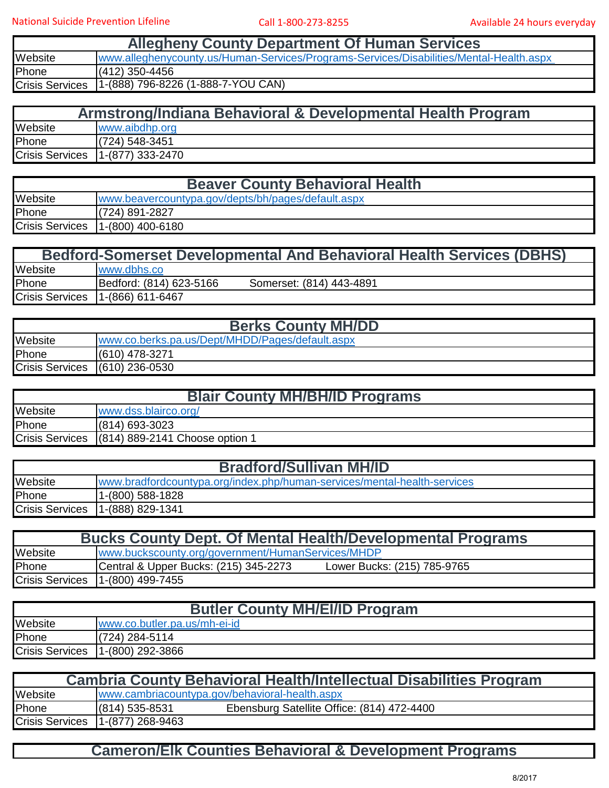| <b>Allegheny County Department Of Human Services</b> |                                                                                         |  |
|------------------------------------------------------|-----------------------------------------------------------------------------------------|--|
| Website                                              | www.alleghenycounty.us/Human-Services/Programs-Services/Disabilities/Mental-Health.aspx |  |
| Phone                                                | $(412)$ 350-4456                                                                        |  |
| <b>Crisis Services</b>                               | 1-(888) 796-8226 (1-888-7-YOU CAN)                                                      |  |

| Armstrong/Indiana Behavioral & Developmental Health Program |                    |  |
|-------------------------------------------------------------|--------------------|--|
| Website                                                     | www.aibdhp.org     |  |
| Phone                                                       | $(724) 548 - 3451$ |  |
| <b>Crisis Services</b>                                      | $1-(877)$ 333-2470 |  |

| <b>Beaver County Behavioral Health</b> |                                                    |  |
|----------------------------------------|----------------------------------------------------|--|
| Website                                | www.beavercountypa.gov/depts/bh/pages/default.aspx |  |
| Phone                                  | $(724)$ 891-2827                                   |  |
| <b>Crisis Services</b>                 | $1-(800)$ 400-6180                                 |  |

|                        | <b>Bedford-Somerset Developmental And Behavioral Health Services (DBHS)</b> |  |
|------------------------|-----------------------------------------------------------------------------|--|
| Website                | www.dbhs.co                                                                 |  |
| Phone                  | Bedford: (814) 623-5166<br>Somerset: (814) 443-4891                         |  |
| <b>Crisis Services</b> | $1-(866)$ 611-6467                                                          |  |

| <b>Berks County MH/DD</b> |                                                 |  |  |
|---------------------------|-------------------------------------------------|--|--|
| Website                   | www.co.berks.pa.us/Dept/MHDD/Pages/default.aspx |  |  |
| Phone                     | (610) 478-3271                                  |  |  |
|                           | Crisis Services (610) 236-0530                  |  |  |

| <b>Blair County MH/BH/ID Programs</b> |                                                |  |
|---------------------------------------|------------------------------------------------|--|
| Website                               | www.dss.blairco.org/                           |  |
| Phone                                 | $(814)$ 693-3023                               |  |
|                                       | Crisis Services (814) 889-2141 Choose option 1 |  |

| <b>Bradford/Sullivan MH/ID</b> |                                                                          |  |
|--------------------------------|--------------------------------------------------------------------------|--|
| Website                        | www.bradfordcountypa.org/index.php/human-services/mental-health-services |  |
| Phone                          | 1-(800) 588-1828                                                         |  |
| <b>Crisis Services</b>         | 11-(888) 829-1341                                                        |  |

| <b>Bucks County Dept. Of Mental Health/Developmental Programs</b> |                                                                      |  |  |
|-------------------------------------------------------------------|----------------------------------------------------------------------|--|--|
| Website                                                           | www.buckscounty.org/government/HumanServices/MHDP                    |  |  |
| Phone                                                             | Central & Upper Bucks: (215) 345-2273<br>Lower Bucks: (215) 785-9765 |  |  |
| <b>Crisis Services</b>                                            | 1-(800) 499-7455                                                     |  |  |

| <b>Butler County MH/EI/ID Program</b> |                              |  |
|---------------------------------------|------------------------------|--|
| Website                               | www.co.butler.pa.us/mh-ei-id |  |
| Phone                                 | (724) 284-5114               |  |
| <b>Crisis Services</b>                | 1-(800) 292-3866             |  |

| <b>Cambria County Behavioral Health/Intellectual Disabilities Program</b> |                    |                                                |  |
|---------------------------------------------------------------------------|--------------------|------------------------------------------------|--|
| Website                                                                   |                    | www.cambriacountypa.gov/behavioral-health.aspx |  |
| Phone                                                                     | $(814)$ 535-8531   | Ebensburg Satellite Office: (814) 472-4400     |  |
| <b>Crisis Services</b>                                                    | $1-(877)$ 268-9463 |                                                |  |

## **Cameron/Elk Counties Behavioral & Development Programs**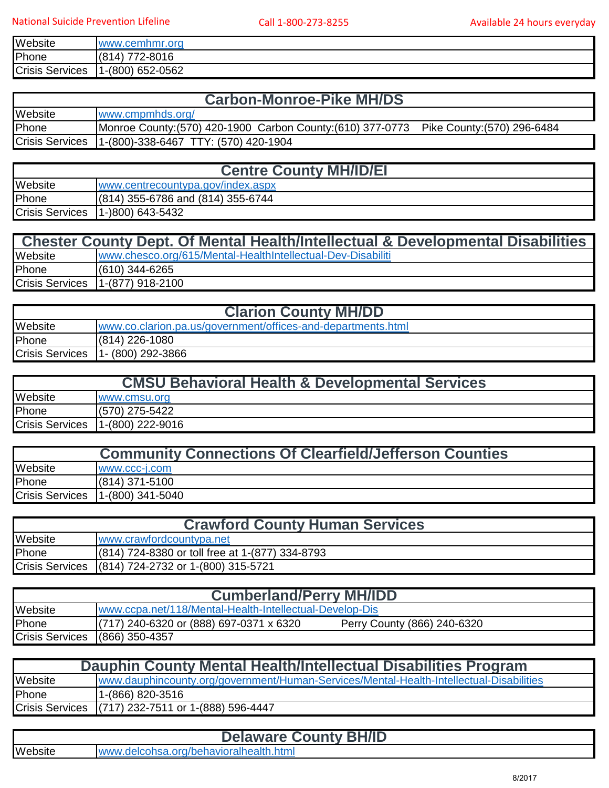| Website                | www.cemhmr.org                     |
|------------------------|------------------------------------|
| Phone                  | 772-8016<br>(814)                  |
| <b>Crisis Services</b> | 1-(800) 652-0562<br>$\overline{A}$ |

## **Carbon-Monroe-Pike MH/DS**

| <b>Website</b>         | www.cmpmhds.org/                                            |                             |
|------------------------|-------------------------------------------------------------|-----------------------------|
| Phone                  | Monroe County: (570) 420-1900 Carbon County: (610) 377-0773 | Pike County: (570) 296-6484 |
| <b>Crisis Services</b> | [1-(800)-338-6467 TTY: (570) 420-1904                       |                             |

| <b>Centre County MH/ID/EI</b> |                                     |  |
|-------------------------------|-------------------------------------|--|
| Website                       | www.centrecountypa.gov/index.aspx   |  |
| Phone                         | $(814)$ 355-6786 and (814) 355-6744 |  |
| <b>Crisis Services</b>        | 11-)800) 643-5432                   |  |

| <b>Chester County Dept. Of Mental Health/Intellectual &amp; Developmental Disabilities</b> |                                                             |  |
|--------------------------------------------------------------------------------------------|-------------------------------------------------------------|--|
| Website                                                                                    | www.chesco.org/615/Mental-HealthIntellectual-Dev-Disabiliti |  |
| Phone                                                                                      | $(610)$ 344-6265                                            |  |
| <b>Crisis Services</b>                                                                     | 11-(877) 918-2100                                           |  |

| <b>Clarion County MH/DD</b> |                                                              |
|-----------------------------|--------------------------------------------------------------|
| Website                     | www.co.clarion.pa.us/government/offices-and-departments.html |
| Phone                       | (814) 226-1080                                               |
| <b>Crisis Services</b>      | 11- (800) 292-3866                                           |

| <b>CMSU Behavioral Health &amp; Developmental Services</b> |                    |  |
|------------------------------------------------------------|--------------------|--|
| Website                                                    | www.cmsu.org       |  |
| Phone                                                      | $(570)$ 275-5422   |  |
| <b>Crisis Services</b>                                     | $1-(800)$ 222-9016 |  |

| <b>Community Connections Of Clearfield/Jefferson Counties</b> |                  |
|---------------------------------------------------------------|------------------|
| Website                                                       | WWW.CCC-I.COM    |
| Phone                                                         | $(814)$ 371-5100 |
| <b>Crisis Services</b>                                        | 1-(800) 341-5040 |

| <b>Crawford County Human Services</b> |                                                    |  |
|---------------------------------------|----------------------------------------------------|--|
| Website                               | www.crawfordcountypa.net                           |  |
| Phone                                 | (814) 724-8380 or toll free at 1-(877) 334-8793    |  |
|                                       | Crisis Services (814) 724-2732 or 1-(800) 315-5721 |  |

| <b>Cumberland/Perry MH/IDD</b> |                                                         |                             |  |
|--------------------------------|---------------------------------------------------------|-----------------------------|--|
| Website                        | www.ccpa.net/118/Mental-Health-Intellectual-Develop-Dis |                             |  |
| Phone                          | $(717)$ 240-6320 or (888) 697-0371 x 6320               | Perry County (866) 240-6320 |  |
| <b>Crisis Services</b>         | $(866)$ 350-4357                                        |                             |  |

| Dauphin County Mental Health/Intellectual Disabilities Program |                                                                                         |  |
|----------------------------------------------------------------|-----------------------------------------------------------------------------------------|--|
| Website                                                        | www.dauphincounty.org/government/Human-Services/Mental-Health-Intellectual-Disabilities |  |
| Phone                                                          | 1-(866) 820-3516                                                                        |  |
|                                                                | Crisis Services (717) 232-7511 or 1-(888) 596-4447                                      |  |

|  | <b>Delaware County BH/ID</b> |  |  |
|--|------------------------------|--|--|
|--|------------------------------|--|--|

Website [www.delcohsa.org/behavioralhealth.html](http://www.delcohsa.org/behavioralhealth.html)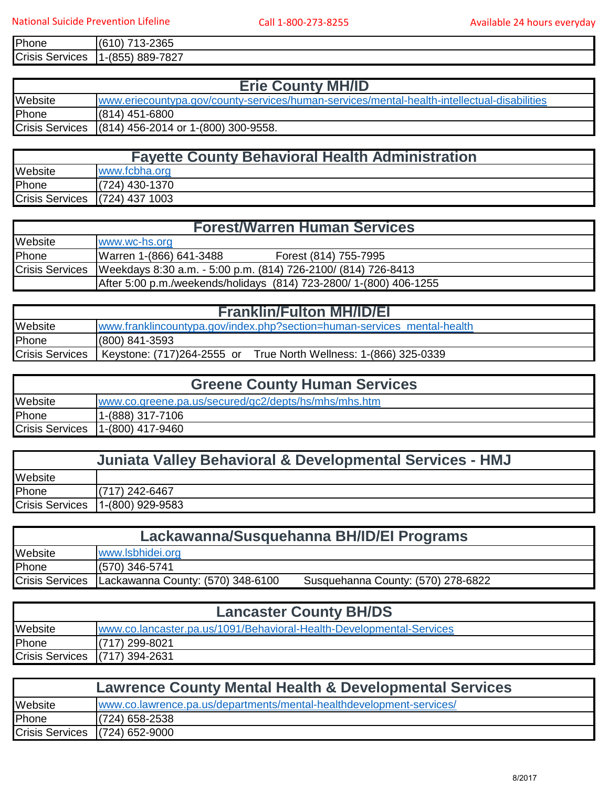| Phone                     | 2365<br>(6<br>, ,<br>. .<br>υ<br>∼-<br>ن ا     |
|---------------------------|------------------------------------------------|
| <b>Crisis</b><br>Services | 7007<br>889-7<br><u>ı-(855)</u><br>- 7<br>- 72 |

| <b>Erie County MH/ID</b> |                                                                                             |
|--------------------------|---------------------------------------------------------------------------------------------|
| Website                  | www.eriecountypa.gov/county-services/human-services/mental-health-intellectual-disabilities |
| Phone                    | $(814)$ 451-6800                                                                            |
|                          | Crisis Services (814) 456-2014 or 1-(800) 300-9558.                                         |

| <b>Fayette County Behavioral Health Administration</b> |                                |  |
|--------------------------------------------------------|--------------------------------|--|
| Website                                                | www.fcbha.org                  |  |
| Phone                                                  | (724) 430-1370                 |  |
|                                                        | Crisis Services (724) 437 1003 |  |

| <b>Forest/Warren Human Services</b> |                                                                    |
|-------------------------------------|--------------------------------------------------------------------|
| Website                             | www.wc-hs.org                                                      |
| Phone                               | Warren 1-(866) 641-3488<br>Forest (814) 755-7995                   |
| <b>Crisis Services</b>              | Weekdays 8:30 a.m. - 5:00 p.m. (814) 726-2100/ (814) 726-8413      |
|                                     | After 5:00 p.m./weekends/holidays (814) 723-2800/ 1-(800) 406-1255 |

| <b>Franklin/Fulton MH/ID/EI</b> |                                                                                       |
|---------------------------------|---------------------------------------------------------------------------------------|
| Website                         | www.franklincountypa.gov/index.php?section=human-services_mental-health               |
| Phone                           | $(800)$ 841-3593                                                                      |
|                                 | Crisis Services   Keystone: (717)264-2555 or<br>True North Wellness: 1-(866) 325-0339 |

| <b>Greene County Human Services</b> |                                                      |
|-------------------------------------|------------------------------------------------------|
| Website                             | www.co.greene.pa.us/secured/gc2/depts/hs/mhs/mhs.htm |
| Phone                               | 1-(888) 317-7106                                     |
| <b>Crisis Services</b>              | 11-(800) 417-9460                                    |

| <b>Juniata Valley Behavioral &amp; Developmental Services - HMJ</b> |                    |
|---------------------------------------------------------------------|--------------------|
| Website                                                             |                    |
| Phone                                                               | (717) 242-6467     |
| <b>Crisis Services</b>                                              | $1-(800)$ 929-9583 |

| Lackawanna/Susquehanna BH/ID/EI Programs |                                   |                                    |
|------------------------------------------|-----------------------------------|------------------------------------|
| Website                                  | www.lsbhidei.org                  |                                    |
| Phone                                    | $(570)$ 346-5741                  |                                    |
| <b>Crisis Services</b>                   | Lackawanna County: (570) 348-6100 | Susquehanna County: (570) 278-6822 |

| <b>Lancaster County BH/DS</b>  |                                                                      |
|--------------------------------|----------------------------------------------------------------------|
| Website                        | www.co.lancaster.pa.us/1091/Behavioral-Health-Developmental-Services |
| Phone                          | $(717)$ 299-8021                                                     |
| Crisis Services (717) 394-2631 |                                                                      |

| <b>Lawrence County Mental Health &amp; Developmental Services</b> |                                                                      |
|-------------------------------------------------------------------|----------------------------------------------------------------------|
| Website                                                           | www.co.lawrence.pa.us/departments/mental-healthdevelopment-services/ |
| Phone                                                             | $(724)$ 658-2538                                                     |
| Crisis Services (724) 652-9000                                    |                                                                      |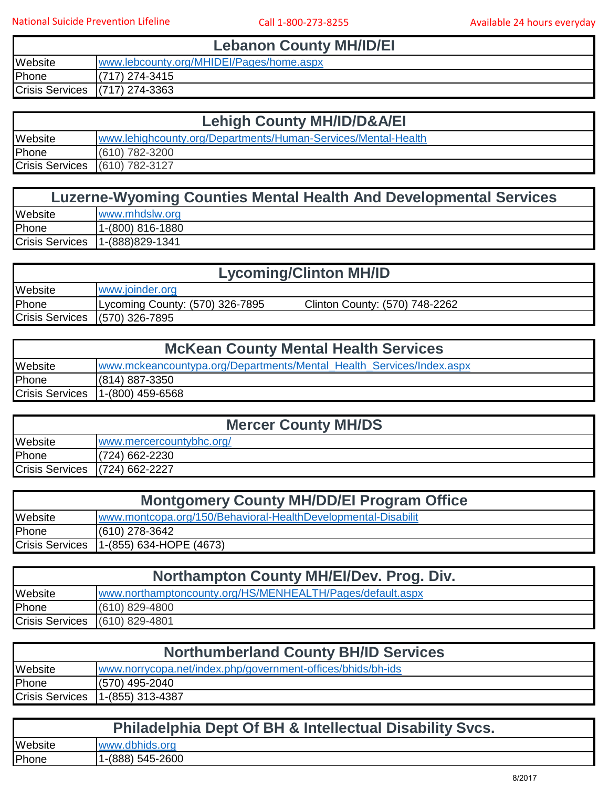T

**Lebanon County MH/ID/EI**

| Website                | /.lebcounty.org/MHIDEI/Pages/home.aspx<br><b>WWW</b> |
|------------------------|------------------------------------------------------|
| Phone                  | 274-3415<br>171.                                     |
| <b>Crisis Services</b> | 274-3363<br>(717)                                    |

| <b>Lehigh County MH/ID/D&amp;A/EI</b> |                                                               |
|---------------------------------------|---------------------------------------------------------------|
| Website                               | www.lehighcounty.org/Departments/Human-Services/Mental-Health |
| Phone                                 | (610) 782-3200                                                |
| Crisis Services (610) 782-3127        |                                                               |

| <b>Luzerne-Wyoming Counties Mental Health And Developmental Services</b> |                   |
|--------------------------------------------------------------------------|-------------------|
| Website                                                                  | www.mhdslw.org    |
| Phone                                                                    | 11-(800) 816-1880 |
| <b>Crisis Services</b>                                                   | $1-(888)829-1341$ |

| <b>Lycoming/Clinton MH/ID</b> |                                                                   |  |
|-------------------------------|-------------------------------------------------------------------|--|
| Website                       | www.joinder.org                                                   |  |
| Phone                         | Lycoming County: (570) 326-7895<br>Clinton County: (570) 748-2262 |  |
|                               | Crisis Services (570) 326-7895                                    |  |

| <b>McKean County Mental Health Services</b> |                                                                      |
|---------------------------------------------|----------------------------------------------------------------------|
| Website                                     | www.mckeancountypa.org/Departments/Mental_Health_Services/Index.aspx |
| Phone                                       | $(814) 887 - 3350$                                                   |
| <b>Crisis Services</b>                      | $1-(800)$ 459-6568                                                   |

| <b>Mercer County MH/DS</b>     |                          |
|--------------------------------|--------------------------|
| Website                        | www.mercercountybhc.org/ |
| Phone                          | $(724)$ 662-2230         |
| Crisis Services (724) 662-2227 |                          |

| <b>Montgomery County MH/DD/EI Program Office</b> |                                                               |
|--------------------------------------------------|---------------------------------------------------------------|
| Website                                          | www.montcopa.org/150/Behavioral-HealthDevelopmental-Disabilit |
| Phone                                            | (610) 278-3642                                                |
| <b>Crisis Services</b>                           | $1-(855)$ 634-HOPE (4673)                                     |

| <b>Northampton County MH/EI/Dev. Prog. Div.</b> |                                                           |
|-------------------------------------------------|-----------------------------------------------------------|
| Website                                         | www.northamptoncounty.org/HS/MENHEALTH/Pages/default.aspx |
| Phone                                           | $(610)$ 829-4800                                          |
| Crisis Services (610) 829-4801                  |                                                           |

| <b>Northumberland County BH/ID Services</b> |                                                             |
|---------------------------------------------|-------------------------------------------------------------|
| Website                                     | www.norrycopa.net/index.php/government-offices/bhids/bh-ids |
| Phone                                       | (570) 495-2040                                              |
| <b>Crisis Services</b>                      | 1-(855) 313-4387                                            |

| <b>Philadelphia Dept Of BH &amp; Intellectual Disability Svcs.</b> |                  |
|--------------------------------------------------------------------|------------------|
| Website                                                            | www.dbhids.org   |
| Phone                                                              | 1-(888) 545-2600 |